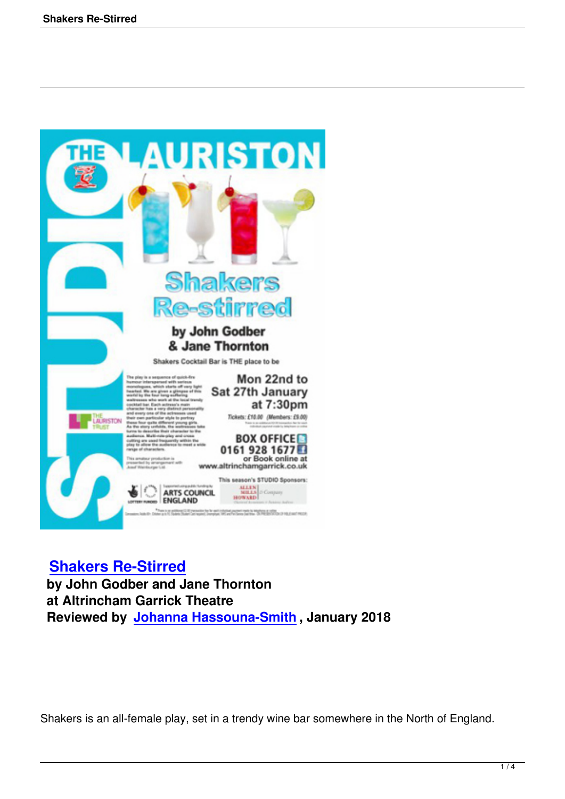

## **Shakers Re-Stirred**

 **by John Godber and Jane Thornton at Altrincham Garrick Theatre [Reviewed by Johanna](shakers-re-stirred.html) Hassouna-Smith , January 2018**

Shakers is an all-female play, set in a trendy wine bar somewhere in the North of England.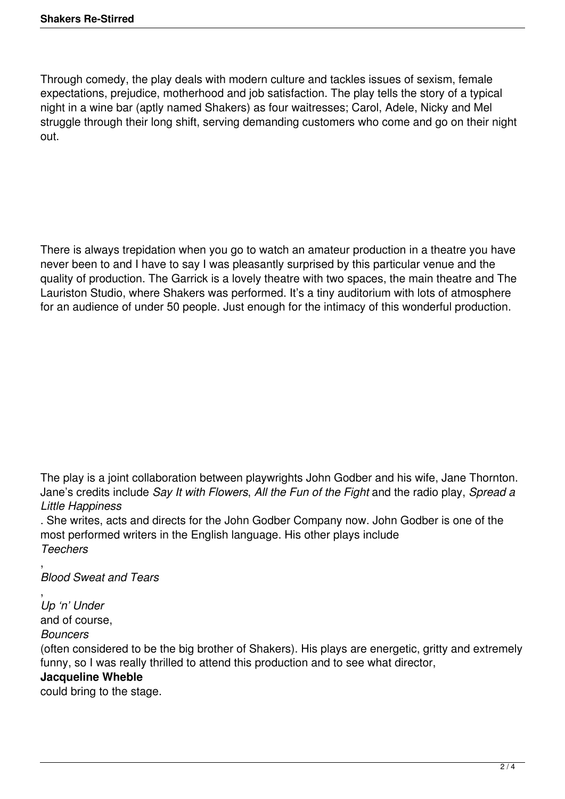Through comedy, the play deals with modern culture and tackles issues of sexism, female expectations, prejudice, motherhood and job satisfaction. The play tells the story of a typical night in a wine bar (aptly named Shakers) as four waitresses; Carol, Adele, Nicky and Mel struggle through their long shift, serving demanding customers who come and go on their night out.

There is always trepidation when you go to watch an amateur production in a theatre you have never been to and I have to say I was pleasantly surprised by this particular venue and the quality of production. The Garrick is a lovely theatre with two spaces, the main theatre and The Lauriston Studio, where Shakers was performed. It's a tiny auditorium with lots of atmosphere for an audience of under 50 people. Just enough for the intimacy of this wonderful production.

The play is a joint collaboration between playwrights John Godber and his wife, Jane Thornton. Jane's credits include *Say It with Flowers*, *All the Fun of the Fight* and the radio play, *Spread a Little Happiness*

. She writes, acts and directs for the John Godber Company now. John Godber is one of the most performed writers in the English language. His other plays include *Teechers*

, *Blood Sweat and Tears*

, *Up 'n' Under* and of course,

*Bouncers*

(often considered to be the big brother of Shakers). His plays are energetic, gritty and extremely funny, so I was really thrilled to attend this production and to see what director,

## **Jacqueline Wheble**

could bring to the stage.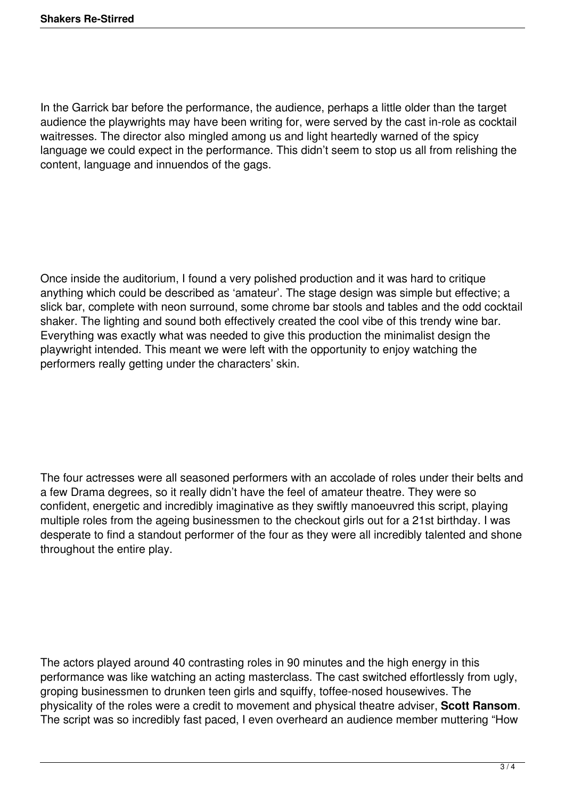In the Garrick bar before the performance, the audience, perhaps a little older than the target audience the playwrights may have been writing for, were served by the cast in-role as cocktail waitresses. The director also mingled among us and light heartedly warned of the spicy language we could expect in the performance. This didn't seem to stop us all from relishing the content, language and innuendos of the gags.

Once inside the auditorium, I found a very polished production and it was hard to critique anything which could be described as 'amateur'. The stage design was simple but effective; a slick bar, complete with neon surround, some chrome bar stools and tables and the odd cocktail shaker. The lighting and sound both effectively created the cool vibe of this trendy wine bar. Everything was exactly what was needed to give this production the minimalist design the playwright intended. This meant we were left with the opportunity to enjoy watching the performers really getting under the characters' skin.

The four actresses were all seasoned performers with an accolade of roles under their belts and a few Drama degrees, so it really didn't have the feel of amateur theatre. They were so confident, energetic and incredibly imaginative as they swiftly manoeuvred this script, playing multiple roles from the ageing businessmen to the checkout girls out for a 21st birthday. I was desperate to find a standout performer of the four as they were all incredibly talented and shone throughout the entire play.

The actors played around 40 contrasting roles in 90 minutes and the high energy in this performance was like watching an acting masterclass. The cast switched effortlessly from ugly, groping businessmen to drunken teen girls and squiffy, toffee-nosed housewives. The physicality of the roles were a credit to movement and physical theatre adviser, **Scott Ransom**. The script was so incredibly fast paced, I even overheard an audience member muttering "How